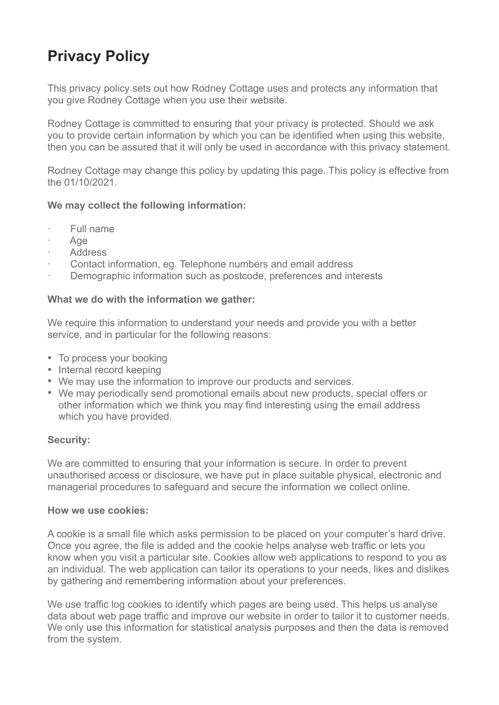# **Privacy Policy**

This privacy policy sets out how Rodney Cottage uses and protects any information that you give Rodney Cottage when you use their website.

Rodney Cottage is committed to ensuring that your privacy is protected. Should we ask you to provide certain information by which you can be identified when using this website, then you can be assured that it will only be used in accordance with this privacy statement.

Rodney Cottage may change this policy by updating this page. This policy is effective from the 01/10/2021.

### **We may collect the following information:**

- · Full name
- · Age
- **Address**
- Contact information, eg. Telephone numbers and email address
- Demographic information such as postcode, preferences and interests

## **What we do with the information we gather:**

We require this information to understand your needs and provide you with a better service, and in particular for the following reasons:

- To process your booking
- Internal record keeping
- We may use the information to improve our products and services.
- We may periodically send promotional emails about new products, special offers or other information which we think you may find interesting using the email address which you have provided.

### **Security:**

We are committed to ensuring that your information is secure. In order to prevent unauthorised access or disclosure, we have put in place suitable physical, electronic and managerial procedures to safeguard and secure the information we collect online.

### **How we use cookies:**

A cookie is a small file which asks permission to be placed on your computer's hard drive. Once you agree, the file is added and the cookie helps analyse web traffic or lets you know when you visit a particular site. Cookies allow web applications to respond to you as an individual. The web application can tailor its operations to your needs, likes and dislikes by gathering and remembering information about your preferences.

We use traffic log cookies to identify which pages are being used. This helps us analyse data about web page traffic and improve our website in order to tailor it to customer needs. We only use this information for statistical analysis purposes and then the data is removed from the system.